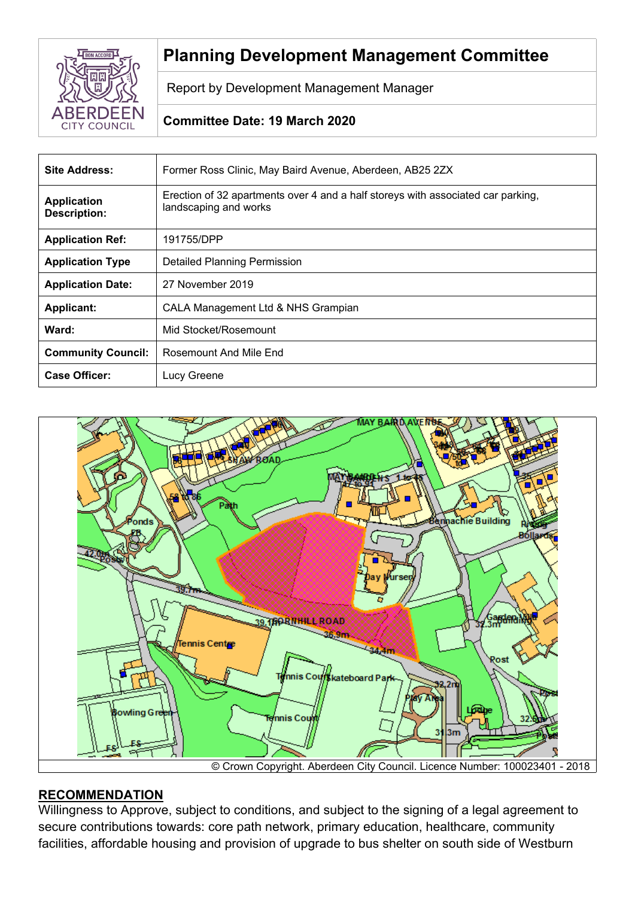

# **Planning Development Management Committee**

Report by Development Management Manager

# **Committee Date: 19 March 2020**

| <b>Site Address:</b>                      | Former Ross Clinic, May Baird Avenue, Aberdeen, AB25 2ZX                                                  |  |
|-------------------------------------------|-----------------------------------------------------------------------------------------------------------|--|
| <b>Application</b><br><b>Description:</b> | Erection of 32 apartments over 4 and a half storeys with associated car parking,<br>landscaping and works |  |
| <b>Application Ref:</b>                   | 191755/DPP                                                                                                |  |
| <b>Application Type</b>                   | <b>Detailed Planning Permission</b>                                                                       |  |
| <b>Application Date:</b>                  | 27 November 2019                                                                                          |  |
| <b>Applicant:</b>                         | CALA Management Ltd & NHS Grampian                                                                        |  |
| Ward:                                     | Mid Stocket/Rosemount                                                                                     |  |
| <b>Community Council:</b>                 | Rosemount And Mile End                                                                                    |  |
| <b>Case Officer:</b>                      | Lucy Greene                                                                                               |  |



## © Crown Copyright. Aberdeen City Council. Licence Number: 100023401 - 2018

### **RECOMMENDATION**

Willingness to Approve, subject to conditions, and subject to the signing of a legal agreement to secure contributions towards: core path network, primary education, healthcare, community facilities, affordable housing and provision of upgrade to bus shelter on south side of Westburn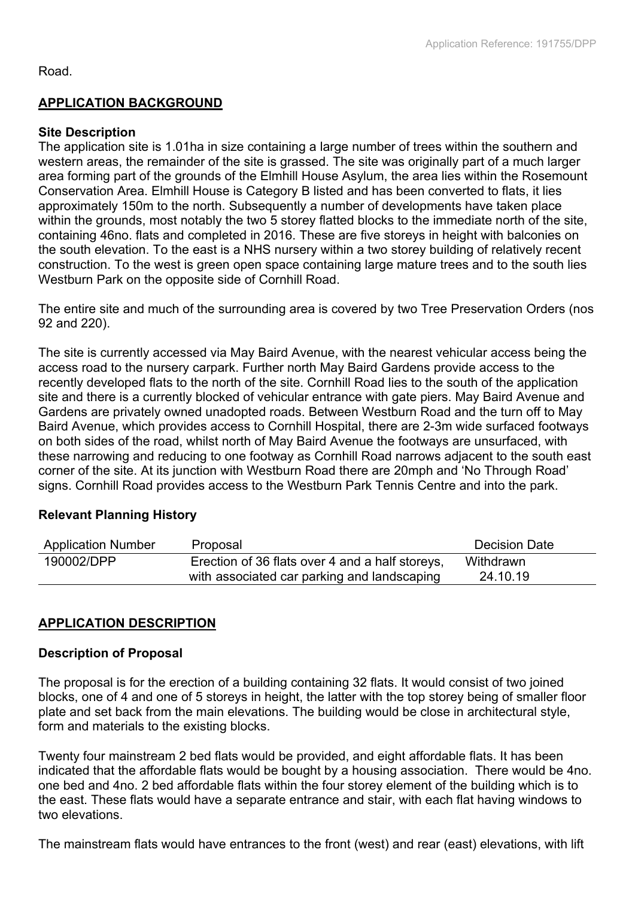#### Road.

### **APPLICATION BACKGROUND**

### **Site Description**

The application site is 1.01ha in size containing a large number of trees within the southern and western areas, the remainder of the site is grassed. The site was originally part of a much larger area forming part of the grounds of the Elmhill House Asylum, the area lies within the Rosemount Conservation Area. Elmhill House is Category B listed and has been converted to flats, it lies approximately 150m to the north. Subsequently a number of developments have taken place within the grounds, most notably the two 5 storey flatted blocks to the immediate north of the site, containing 46no. flats and completed in 2016. These are five storeys in height with balconies on the south elevation. To the east is a NHS nursery within a two storey building of relatively recent construction. To the west is green open space containing large mature trees and to the south lies Westburn Park on the opposite side of Cornhill Road.

The entire site and much of the surrounding area is covered by two Tree Preservation Orders (nos 92 and 220).

The site is currently accessed via May Baird Avenue, with the nearest vehicular access being the access road to the nursery carpark. Further north May Baird Gardens provide access to the recently developed flats to the north of the site. Cornhill Road lies to the south of the application site and there is a currently blocked of vehicular entrance with gate piers. May Baird Avenue and Gardens are privately owned unadopted roads. Between Westburn Road and the turn off to May Baird Avenue, which provides access to Cornhill Hospital, there are 2-3m wide surfaced footways on both sides of the road, whilst north of May Baird Avenue the footways are unsurfaced, with these narrowing and reducing to one footway as Cornhill Road narrows adjacent to the south east corner of the site. At its junction with Westburn Road there are 20mph and 'No Through Road' signs. Cornhill Road provides access to the Westburn Park Tennis Centre and into the park.

### **Relevant Planning History**

| <b>Application Number</b> | Proposal                                        | Decision Date |
|---------------------------|-------------------------------------------------|---------------|
| 190002/DPP                | Erection of 36 flats over 4 and a half storeys, | Withdrawn     |
|                           | with associated car parking and landscaping     | 24.10.19      |

### **APPLICATION DESCRIPTION**

### **Description of Proposal**

The proposal is for the erection of a building containing 32 flats. It would consist of two joined blocks, one of 4 and one of 5 storeys in height, the latter with the top storey being of smaller floor plate and set back from the main elevations. The building would be close in architectural style, form and materials to the existing blocks.

Twenty four mainstream 2 bed flats would be provided, and eight affordable flats. It has been indicated that the affordable flats would be bought by a housing association. There would be 4no. one bed and 4no. 2 bed affordable flats within the four storey element of the building which is to the east. These flats would have a separate entrance and stair, with each flat having windows to two elevations.

The mainstream flats would have entrances to the front (west) and rear (east) elevations, with lift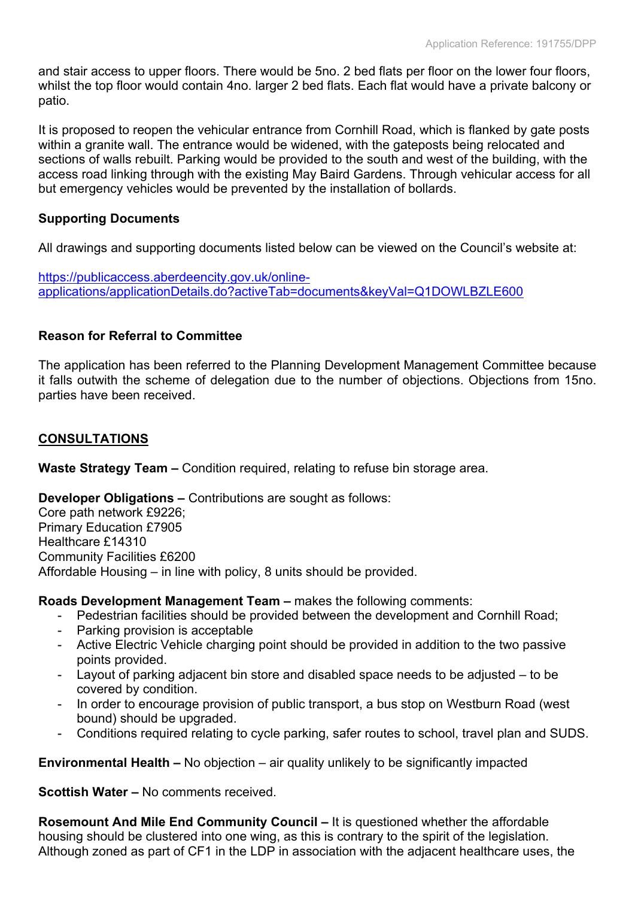and stair access to upper floors. There would be 5no. 2 bed flats per floor on the lower four floors, whilst the top floor would contain 4no. larger 2 bed flats. Each flat would have a private balcony or patio.

It is proposed to reopen the vehicular entrance from Cornhill Road, which is flanked by gate posts within a granite wall. The entrance would be widened, with the gateposts being relocated and sections of walls rebuilt. Parking would be provided to the south and west of the building, with the access road linking through with the existing May Baird Gardens. Through vehicular access for all but emergency vehicles would be prevented by the installation of bollards.

### **Supporting Documents**

All drawings and supporting documents listed below can be viewed on the Council's website at:

[https://publicaccess.aberdeencity.gov.uk/online](https://publicaccess.aberdeencity.gov.uk/online-applications/applicationDetails.do?activeTab=documents&keyVal=Q1DOWLBZLE600)[applications/applicationDetails.do?activeTab=documents&keyVal=Q1DOWLBZLE600](https://publicaccess.aberdeencity.gov.uk/online-applications/applicationDetails.do?activeTab=documents&keyVal=Q1DOWLBZLE600)

### **Reason for Referral to Committee**

The application has been referred to the Planning Development Management Committee because it falls outwith the scheme of delegation due to the number of objections. Objections from 15no. parties have been received.

### **CONSULTATIONS**

**Waste Strategy Team –** Condition required, relating to refuse bin storage area.

**Developer Obligations –** Contributions are sought as follows:

Core path network £9226; Primary Education £7905 Healthcare £14310 Community Facilities £6200 Affordable Housing – in line with policy, 8 units should be provided.

**Roads Development Management Team –** makes the following comments:

- Pedestrian facilities should be provided between the development and Cornhill Road;
- Parking provision is acceptable
- Active Electric Vehicle charging point should be provided in addition to the two passive points provided.
- Layout of parking adjacent bin store and disabled space needs to be adjusted to be covered by condition.
- In order to encourage provision of public transport, a bus stop on Westburn Road (west bound) should be upgraded.
- Conditions required relating to cycle parking, safer routes to school, travel plan and SUDS.

**Environmental Health –** No objection – air quality unlikely to be significantly impacted

**Scottish Water –** No comments received.

**Rosemount And Mile End Community Council –** It is questioned whether the affordable housing should be clustered into one wing, as this is contrary to the spirit of the legislation. Although zoned as part of CF1 in the LDP in association with the adjacent healthcare uses, the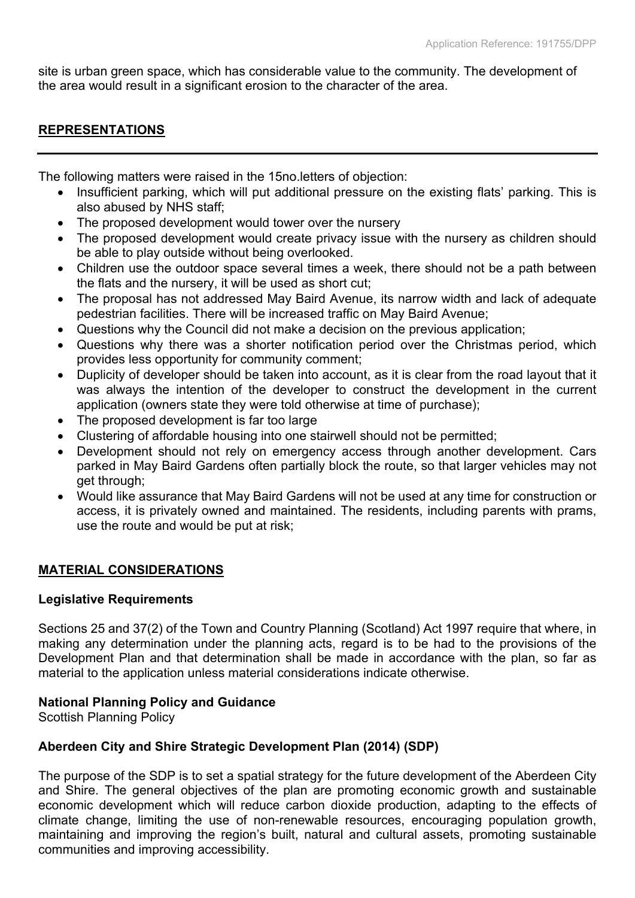site is urban green space, which has considerable value to the community. The development of the area would result in a significant erosion to the character of the area.

### **REPRESENTATIONS**

The following matters were raised in the 15no.letters of objection:

- Insufficient parking, which will put additional pressure on the existing flats' parking. This is also abused by NHS staff;
- The proposed development would tower over the nursery
- The proposed development would create privacy issue with the nursery as children should be able to play outside without being overlooked.
- Children use the outdoor space several times a week, there should not be a path between the flats and the nursery, it will be used as short cut;
- The proposal has not addressed May Baird Avenue, its narrow width and lack of adequate pedestrian facilities. There will be increased traffic on May Baird Avenue;
- Questions why the Council did not make a decision on the previous application;
- Questions why there was a shorter notification period over the Christmas period, which provides less opportunity for community comment;
- Duplicity of developer should be taken into account, as it is clear from the road layout that it was always the intention of the developer to construct the development in the current application (owners state they were told otherwise at time of purchase);
- The proposed development is far too large
- Clustering of affordable housing into one stairwell should not be permitted;
- Development should not rely on emergency access through another development. Cars parked in May Baird Gardens often partially block the route, so that larger vehicles may not get through;
- Would like assurance that May Baird Gardens will not be used at any time for construction or access, it is privately owned and maintained. The residents, including parents with prams, use the route and would be put at risk;

### **MATERIAL CONSIDERATIONS**

### **Legislative Requirements**

Sections 25 and 37(2) of the Town and Country Planning (Scotland) Act 1997 require that where, in making any determination under the planning acts, regard is to be had to the provisions of the Development Plan and that determination shall be made in accordance with the plan, so far as material to the application unless material considerations indicate otherwise.

### **National Planning Policy and Guidance**

Scottish Planning Policy

### **Aberdeen City and Shire Strategic Development Plan (2014) (SDP)**

The purpose of the SDP is to set a spatial strategy for the future development of the Aberdeen City and Shire. The general objectives of the plan are promoting economic growth and sustainable economic development which will reduce carbon dioxide production, adapting to the effects of climate change, limiting the use of non-renewable resources, encouraging population growth, maintaining and improving the region's built, natural and cultural assets, promoting sustainable communities and improving accessibility.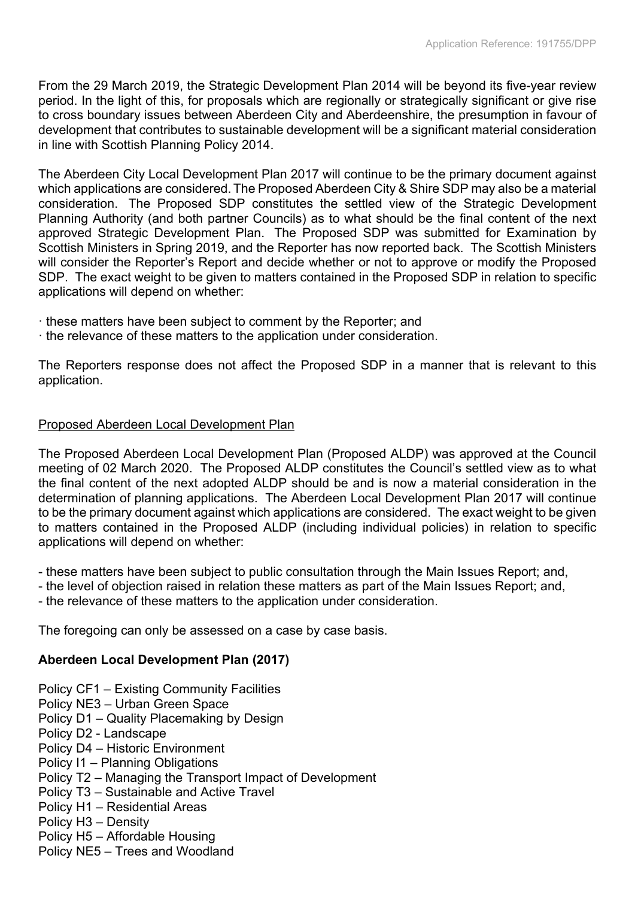From the 29 March 2019, the Strategic Development Plan 2014 will be beyond its five-year review period. In the light of this, for proposals which are regionally or strategically significant or give rise to cross boundary issues between Aberdeen City and Aberdeenshire, the presumption in favour of development that contributes to sustainable development will be a significant material consideration in line with Scottish Planning Policy 2014.

The Aberdeen City Local Development Plan 2017 will continue to be the primary document against which applications are considered. The Proposed Aberdeen City & Shire SDP may also be a material consideration. The Proposed SDP constitutes the settled view of the Strategic Development Planning Authority (and both partner Councils) as to what should be the final content of the next approved Strategic Development Plan. The Proposed SDP was submitted for Examination by Scottish Ministers in Spring 2019, and the Reporter has now reported back. The Scottish Ministers will consider the Reporter's Report and decide whether or not to approve or modify the Proposed SDP. The exact weight to be given to matters contained in the Proposed SDP in relation to specific applications will depend on whether:

- · these matters have been subject to comment by the Reporter; and
- · the relevance of these matters to the application under consideration.

The Reporters response does not affect the Proposed SDP in a manner that is relevant to this application.

## Proposed Aberdeen Local Development Plan

The Proposed Aberdeen Local Development Plan (Proposed ALDP) was approved at the Council meeting of 02 March 2020. The Proposed ALDP constitutes the Council's settled view as to what the final content of the next adopted ALDP should be and is now a material consideration in the determination of planning applications. The Aberdeen Local Development Plan 2017 will continue to be the primary document against which applications are considered. The exact weight to be given to matters contained in the Proposed ALDP (including individual policies) in relation to specific applications will depend on whether:

- these matters have been subject to public consultation through the Main Issues Report; and,

- the level of objection raised in relation these matters as part of the Main Issues Report; and,
- the relevance of these matters to the application under consideration.

The foregoing can only be assessed on a case by case basis.

### **Aberdeen Local Development Plan (2017)**

- Policy CF1 Existing Community Facilities
- Policy NE3 Urban Green Space
- Policy D1 Quality Placemaking by Design
- Policy D2 Landscape
- Policy D4 Historic Environment
- Policy I1 Planning Obligations
- Policy T2 Managing the Transport Impact of Development
- Policy T3 Sustainable and Active Travel
- Policy H1 Residential Areas
- Policy H3 Density
- Policy H5 Affordable Housing
- Policy NE5 Trees and Woodland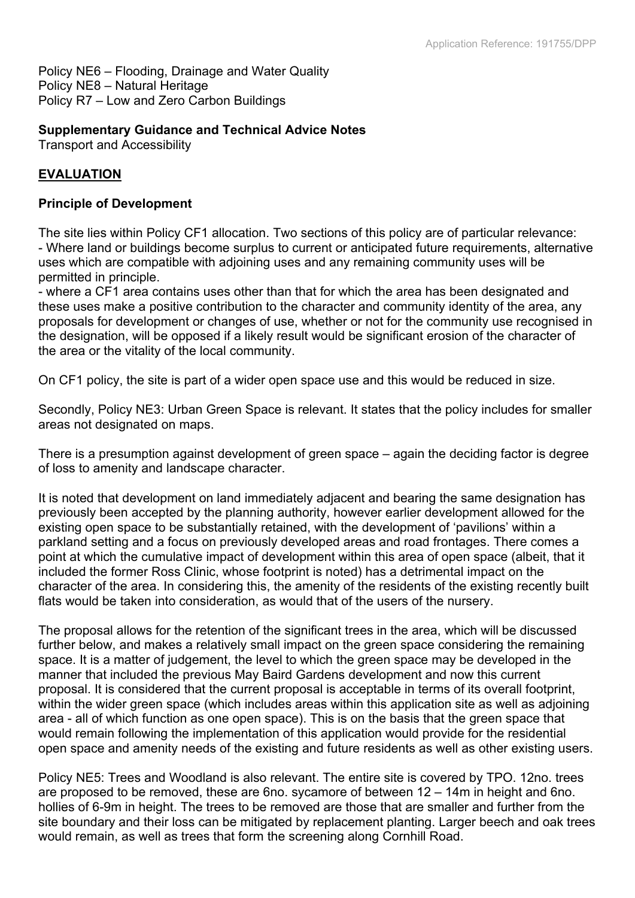Policy NE6 – Flooding, Drainage and Water Quality Policy NE8 – Natural Heritage Policy R7 – Low and Zero Carbon Buildings

### **Supplementary Guidance and Technical Advice Notes**

Transport and Accessibility

### **EVALUATION**

#### **Principle of Development**

The site lies within Policy CF1 allocation. Two sections of this policy are of particular relevance: - Where land or buildings become surplus to current or anticipated future requirements, alternative uses which are compatible with adjoining uses and any remaining community uses will be permitted in principle.

- where a CF1 area contains uses other than that for which the area has been designated and these uses make a positive contribution to the character and community identity of the area, any proposals for development or changes of use, whether or not for the community use recognised in the designation, will be opposed if a likely result would be significant erosion of the character of the area or the vitality of the local community.

On CF1 policy, the site is part of a wider open space use and this would be reduced in size.

Secondly, Policy NE3: Urban Green Space is relevant. It states that the policy includes for smaller areas not designated on maps.

There is a presumption against development of green space – again the deciding factor is degree of loss to amenity and landscape character.

It is noted that development on land immediately adjacent and bearing the same designation has previously been accepted by the planning authority, however earlier development allowed for the existing open space to be substantially retained, with the development of 'pavilions' within a parkland setting and a focus on previously developed areas and road frontages. There comes a point at which the cumulative impact of development within this area of open space (albeit, that it included the former Ross Clinic, whose footprint is noted) has a detrimental impact on the character of the area. In considering this, the amenity of the residents of the existing recently built flats would be taken into consideration, as would that of the users of the nursery.

The proposal allows for the retention of the significant trees in the area, which will be discussed further below, and makes a relatively small impact on the green space considering the remaining space. It is a matter of judgement, the level to which the green space may be developed in the manner that included the previous May Baird Gardens development and now this current proposal. It is considered that the current proposal is acceptable in terms of its overall footprint, within the wider green space (which includes areas within this application site as well as adjoining area - all of which function as one open space). This is on the basis that the green space that would remain following the implementation of this application would provide for the residential open space and amenity needs of the existing and future residents as well as other existing users.

Policy NE5: Trees and Woodland is also relevant. The entire site is covered by TPO. 12no. trees are proposed to be removed, these are 6no. sycamore of between 12 – 14m in height and 6no. hollies of 6-9m in height. The trees to be removed are those that are smaller and further from the site boundary and their loss can be mitigated by replacement planting. Larger beech and oak trees would remain, as well as trees that form the screening along Cornhill Road.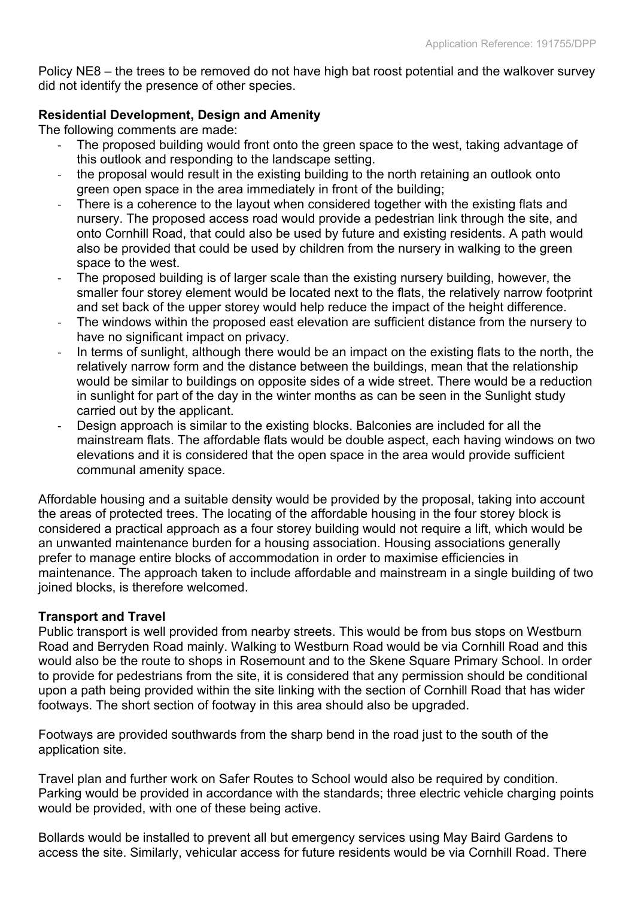Policy NE8 – the trees to be removed do not have high bat roost potential and the walkover survey did not identify the presence of other species.

### **Residential Development, Design and Amenity**

The following comments are made:

- The proposed building would front onto the green space to the west, taking advantage of this outlook and responding to the landscape setting.
- the proposal would result in the existing building to the north retaining an outlook onto green open space in the area immediately in front of the building;
- There is a coherence to the layout when considered together with the existing flats and nursery. The proposed access road would provide a pedestrian link through the site, and onto Cornhill Road, that could also be used by future and existing residents. A path would also be provided that could be used by children from the nursery in walking to the green space to the west.
- The proposed building is of larger scale than the existing nursery building, however, the smaller four storey element would be located next to the flats, the relatively narrow footprint and set back of the upper storey would help reduce the impact of the height difference.
- The windows within the proposed east elevation are sufficient distance from the nursery to have no significant impact on privacy.
- In terms of sunlight, although there would be an impact on the existing flats to the north, the relatively narrow form and the distance between the buildings, mean that the relationship would be similar to buildings on opposite sides of a wide street. There would be a reduction in sunlight for part of the day in the winter months as can be seen in the Sunlight study carried out by the applicant.
- Design approach is similar to the existing blocks. Balconies are included for all the mainstream flats. The affordable flats would be double aspect, each having windows on two elevations and it is considered that the open space in the area would provide sufficient communal amenity space.

Affordable housing and a suitable density would be provided by the proposal, taking into account the areas of protected trees. The locating of the affordable housing in the four storey block is considered a practical approach as a four storey building would not require a lift, which would be an unwanted maintenance burden for a housing association. Housing associations generally prefer to manage entire blocks of accommodation in order to maximise efficiencies in maintenance. The approach taken to include affordable and mainstream in a single building of two joined blocks, is therefore welcomed.

### **Transport and Travel**

Public transport is well provided from nearby streets. This would be from bus stops on Westburn Road and Berryden Road mainly. Walking to Westburn Road would be via Cornhill Road and this would also be the route to shops in Rosemount and to the Skene Square Primary School. In order to provide for pedestrians from the site, it is considered that any permission should be conditional upon a path being provided within the site linking with the section of Cornhill Road that has wider footways. The short section of footway in this area should also be upgraded.

Footways are provided southwards from the sharp bend in the road just to the south of the application site.

Travel plan and further work on Safer Routes to School would also be required by condition. Parking would be provided in accordance with the standards; three electric vehicle charging points would be provided, with one of these being active.

Bollards would be installed to prevent all but emergency services using May Baird Gardens to access the site. Similarly, vehicular access for future residents would be via Cornhill Road. There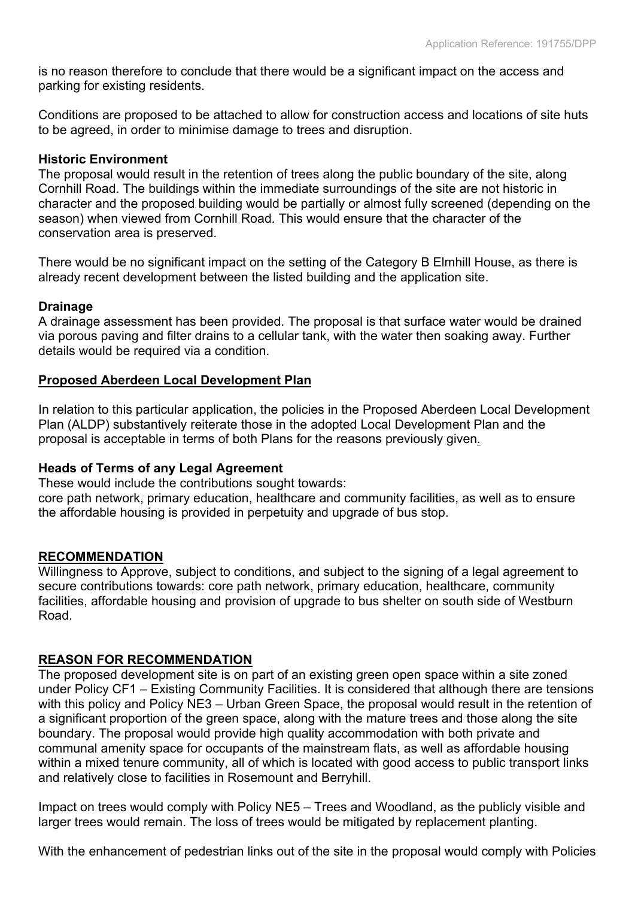is no reason therefore to conclude that there would be a significant impact on the access and parking for existing residents.

Conditions are proposed to be attached to allow for construction access and locations of site huts to be agreed, in order to minimise damage to trees and disruption.

#### **Historic Environment**

The proposal would result in the retention of trees along the public boundary of the site, along Cornhill Road. The buildings within the immediate surroundings of the site are not historic in character and the proposed building would be partially or almost fully screened (depending on the season) when viewed from Cornhill Road. This would ensure that the character of the conservation area is preserved.

There would be no significant impact on the setting of the Category B Elmhill House, as there is already recent development between the listed building and the application site.

#### **Drainage**

A drainage assessment has been provided. The proposal is that surface water would be drained via porous paving and filter drains to a cellular tank, with the water then soaking away. Further details would be required via a condition.

### **Proposed Aberdeen Local Development Plan**

In relation to this particular application, the policies in the Proposed Aberdeen Local Development Plan (ALDP) substantively reiterate those in the adopted Local Development Plan and the proposal is acceptable in terms of both Plans for the reasons previously given*.*

### **Heads of Terms of any Legal Agreement**

These would include the contributions sought towards:

core path network, primary education, healthcare and community facilities, as well as to ensure the affordable housing is provided in perpetuity and upgrade of bus stop.

#### **RECOMMENDATION**

Willingness to Approve, subject to conditions, and subject to the signing of a legal agreement to secure contributions towards: core path network, primary education, healthcare, community facilities, affordable housing and provision of upgrade to bus shelter on south side of Westburn Road.

### **REASON FOR RECOMMENDATION**

The proposed development site is on part of an existing green open space within a site zoned under Policy CF1 – Existing Community Facilities. It is considered that although there are tensions with this policy and Policy NE3 – Urban Green Space, the proposal would result in the retention of a significant proportion of the green space, along with the mature trees and those along the site boundary. The proposal would provide high quality accommodation with both private and communal amenity space for occupants of the mainstream flats, as well as affordable housing within a mixed tenure community, all of which is located with good access to public transport links and relatively close to facilities in Rosemount and Berryhill.

Impact on trees would comply with Policy NE5 – Trees and Woodland, as the publicly visible and larger trees would remain. The loss of trees would be mitigated by replacement planting.

With the enhancement of pedestrian links out of the site in the proposal would comply with Policies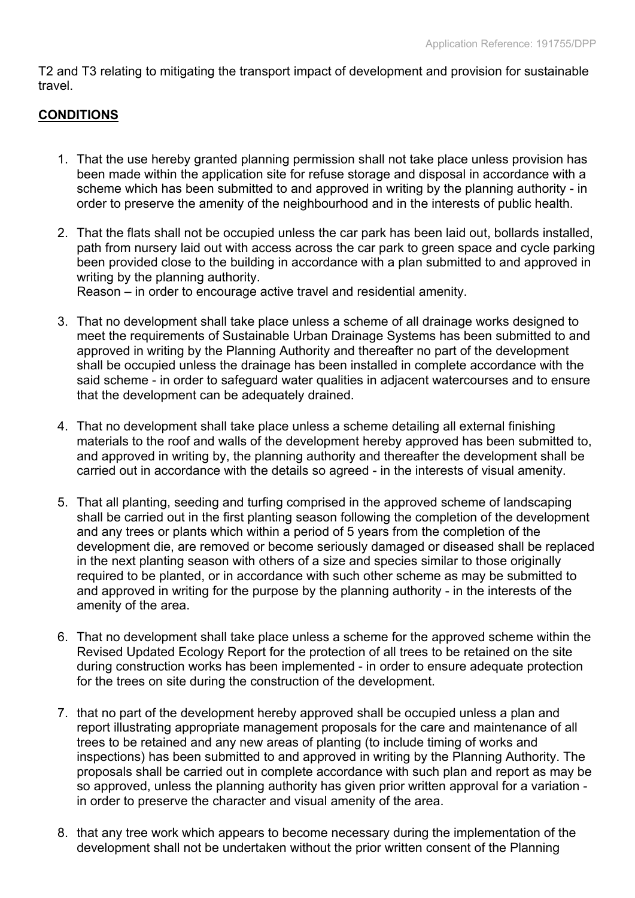T2 and T3 relating to mitigating the transport impact of development and provision for sustainable travel.

### **CONDITIONS**

- 1. That the use hereby granted planning permission shall not take place unless provision has been made within the application site for refuse storage and disposal in accordance with a scheme which has been submitted to and approved in writing by the planning authority - in order to preserve the amenity of the neighbourhood and in the interests of public health.
- 2. That the flats shall not be occupied unless the car park has been laid out, bollards installed, path from nursery laid out with access across the car park to green space and cycle parking been provided close to the building in accordance with a plan submitted to and approved in writing by the planning authority.

Reason – in order to encourage active travel and residential amenity.

- 3. That no development shall take place unless a scheme of all drainage works designed to meet the requirements of Sustainable Urban Drainage Systems has been submitted to and approved in writing by the Planning Authority and thereafter no part of the development shall be occupied unless the drainage has been installed in complete accordance with the said scheme - in order to safeguard water qualities in adjacent watercourses and to ensure that the development can be adequately drained.
- 4. That no development shall take place unless a scheme detailing all external finishing materials to the roof and walls of the development hereby approved has been submitted to, and approved in writing by, the planning authority and thereafter the development shall be carried out in accordance with the details so agreed - in the interests of visual amenity.
- 5. That all planting, seeding and turfing comprised in the approved scheme of landscaping shall be carried out in the first planting season following the completion of the development and any trees or plants which within a period of 5 years from the completion of the development die, are removed or become seriously damaged or diseased shall be replaced in the next planting season with others of a size and species similar to those originally required to be planted, or in accordance with such other scheme as may be submitted to and approved in writing for the purpose by the planning authority - in the interests of the amenity of the area.
- 6. That no development shall take place unless a scheme for the approved scheme within the Revised Updated Ecology Report for the protection of all trees to be retained on the site during construction works has been implemented - in order to ensure adequate protection for the trees on site during the construction of the development.
- 7. that no part of the development hereby approved shall be occupied unless a plan and report illustrating appropriate management proposals for the care and maintenance of all trees to be retained and any new areas of planting (to include timing of works and inspections) has been submitted to and approved in writing by the Planning Authority. The proposals shall be carried out in complete accordance with such plan and report as may be so approved, unless the planning authority has given prior written approval for a variation in order to preserve the character and visual amenity of the area.
- 8. that any tree work which appears to become necessary during the implementation of the development shall not be undertaken without the prior written consent of the Planning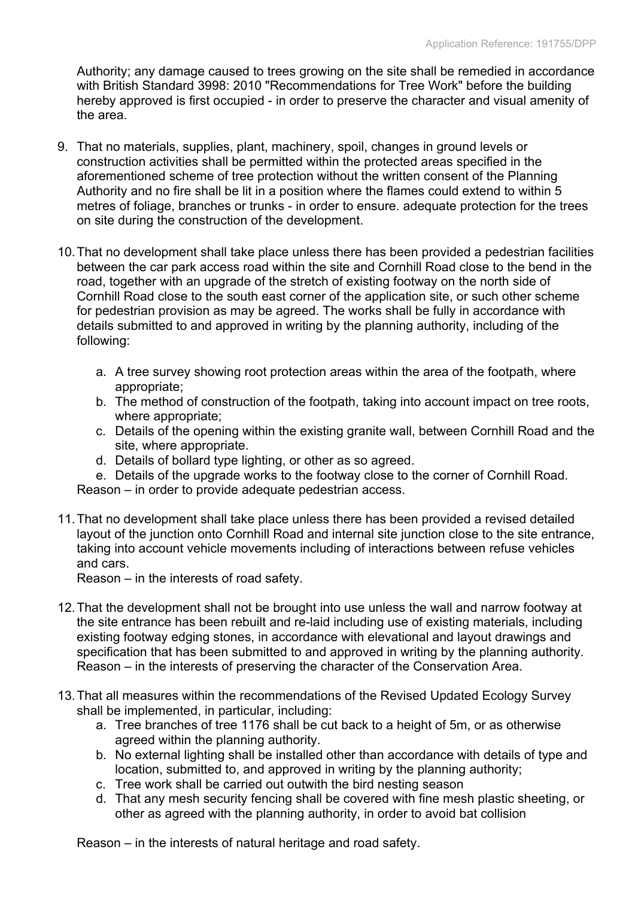Authority; any damage caused to trees growing on the site shall be remedied in accordance with British Standard 3998: 2010 "Recommendations for Tree Work" before the building hereby approved is first occupied - in order to preserve the character and visual amenity of the area.

- 9. That no materials, supplies, plant, machinery, spoil, changes in ground levels or construction activities shall be permitted within the protected areas specified in the aforementioned scheme of tree protection without the written consent of the Planning Authority and no fire shall be lit in a position where the flames could extend to within 5 metres of foliage, branches or trunks - in order to ensure. adequate protection for the trees on site during the construction of the development.
- 10.That no development shall take place unless there has been provided a pedestrian facilities between the car park access road within the site and Cornhill Road close to the bend in the road, together with an upgrade of the stretch of existing footway on the north side of Cornhill Road close to the south east corner of the application site, or such other scheme for pedestrian provision as may be agreed. The works shall be fully in accordance with details submitted to and approved in writing by the planning authority, including of the following:
	- a. A tree survey showing root protection areas within the area of the footpath, where appropriate;
	- b. The method of construction of the footpath, taking into account impact on tree roots, where appropriate;
	- c. Details of the opening within the existing granite wall, between Cornhill Road and the site, where appropriate.
	- d. Details of bollard type lighting, or other as so agreed.
	- e. Details of the upgrade works to the footway close to the corner of Cornhill Road.
	- Reason in order to provide adequate pedestrian access.
- 11.That no development shall take place unless there has been provided a revised detailed layout of the junction onto Cornhill Road and internal site junction close to the site entrance, taking into account vehicle movements including of interactions between refuse vehicles and cars.

Reason – in the interests of road safety.

- 12.That the development shall not be brought into use unless the wall and narrow footway at the site entrance has been rebuilt and re-laid including use of existing materials, including existing footway edging stones, in accordance with elevational and layout drawings and specification that has been submitted to and approved in writing by the planning authority. Reason – in the interests of preserving the character of the Conservation Area.
- 13.That all measures within the recommendations of the Revised Updated Ecology Survey shall be implemented, in particular, including:
	- a. Tree branches of tree 1176 shall be cut back to a height of 5m, or as otherwise agreed within the planning authority.
	- b. No external lighting shall be installed other than accordance with details of type and location, submitted to, and approved in writing by the planning authority;
	- c. Tree work shall be carried out outwith the bird nesting season
	- d. That any mesh security fencing shall be covered with fine mesh plastic sheeting, or other as agreed with the planning authority, in order to avoid bat collision

Reason – in the interests of natural heritage and road safety.